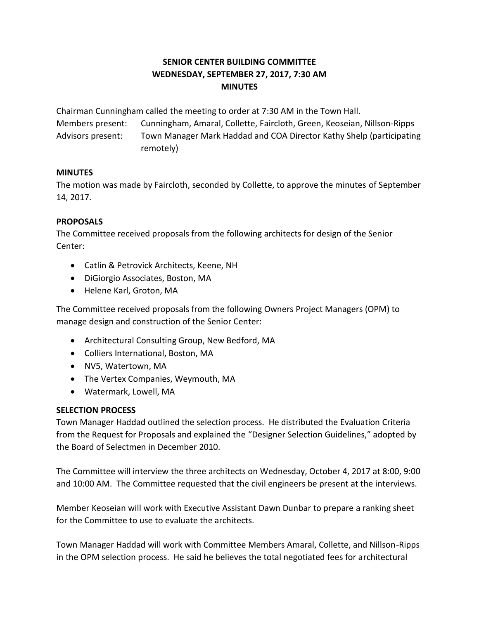# **SENIOR CENTER BUILDING COMMITTEE WEDNESDAY, SEPTEMBER 27, 2017, 7:30 AM MINUTES**

Chairman Cunningham called the meeting to order at 7:30 AM in the Town Hall.

Members present: Cunningham, Amaral, Collette, Faircloth, Green, Keoseian, Nillson-Ripps Advisors present: Town Manager Mark Haddad and COA Director Kathy Shelp (participating remotely)

#### **MINUTES**

The motion was made by Faircloth, seconded by Collette, to approve the minutes of September 14, 2017.

## **PROPOSALS**

The Committee received proposals from the following architects for design of the Senior Center:

- Catlin & Petrovick Architects, Keene, NH
- DiGiorgio Associates, Boston, MA
- Helene Karl, Groton, MA

The Committee received proposals from the following Owners Project Managers (OPM) to manage design and construction of the Senior Center:

- Architectural Consulting Group, New Bedford, MA
- Colliers International, Boston, MA
- NV5, Watertown, MA
- The Vertex Companies, Weymouth, MA
- Watermark, Lowell, MA

## **SELECTION PROCESS**

Town Manager Haddad outlined the selection process. He distributed the Evaluation Criteria from the Request for Proposals and explained the "Designer Selection Guidelines," adopted by the Board of Selectmen in December 2010.

The Committee will interview the three architects on Wednesday, October 4, 2017 at 8:00, 9:00 and 10:00 AM. The Committee requested that the civil engineers be present at the interviews.

Member Keoseian will work with Executive Assistant Dawn Dunbar to prepare a ranking sheet for the Committee to use to evaluate the architects.

Town Manager Haddad will work with Committee Members Amaral, Collette, and Nillson-Ripps in the OPM selection process. He said he believes the total negotiated fees for architectural